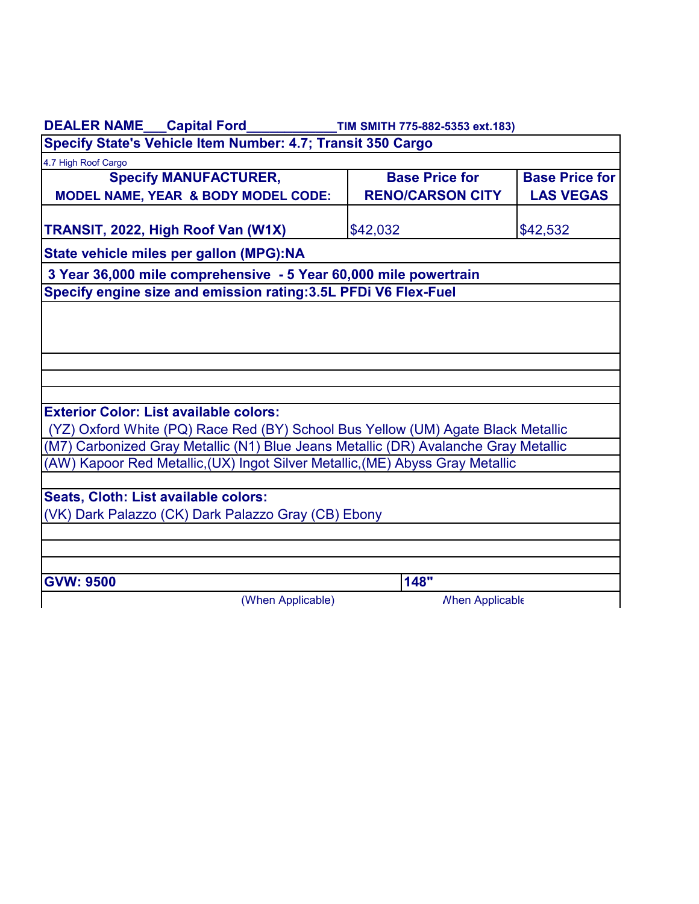| DEALER NAME___Capital Ford________________TIM SMITH 775-882-5353 ext.183)           |                         |                        |  |  |  |
|-------------------------------------------------------------------------------------|-------------------------|------------------------|--|--|--|
| Specify State's Vehicle Item Number: 4.7; Transit 350 Cargo                         |                         |                        |  |  |  |
| 4.7 High Roof Cargo                                                                 |                         |                        |  |  |  |
| <b>Specify MANUFACTURER,</b>                                                        | <b>Base Price for</b>   | <b>Base Price for</b>  |  |  |  |
| <b>MODEL NAME, YEAR &amp; BODY MODEL CODE:</b>                                      | <b>RENO/CARSON CITY</b> | <b>LAS VEGAS</b>       |  |  |  |
| TRANSIT, 2022, High Roof Van (W1X)                                                  | \$42,032                | \$42,532               |  |  |  |
| State vehicle miles per gallon (MPG):NA                                             |                         |                        |  |  |  |
| 3 Year 36,000 mile comprehensive - 5 Year 60,000 mile powertrain                    |                         |                        |  |  |  |
| Specify engine size and emission rating: 3.5L PFDi V6 Flex-Fuel                     |                         |                        |  |  |  |
|                                                                                     |                         |                        |  |  |  |
|                                                                                     |                         |                        |  |  |  |
|                                                                                     |                         |                        |  |  |  |
|                                                                                     |                         |                        |  |  |  |
|                                                                                     |                         |                        |  |  |  |
|                                                                                     |                         |                        |  |  |  |
| <b>Exterior Color: List available colors:</b>                                       |                         |                        |  |  |  |
| (YZ) Oxford White (PQ) Race Red (BY) School Bus Yellow (UM) Agate Black Metallic    |                         |                        |  |  |  |
| (M7) Carbonized Gray Metallic (N1) Blue Jeans Metallic (DR) Avalanche Gray Metallic |                         |                        |  |  |  |
| (AW) Kapoor Red Metallic,(UX) Ingot Silver Metallic,(ME) Abyss Gray Metallic        |                         |                        |  |  |  |
|                                                                                     |                         |                        |  |  |  |
| Seats, Cloth: List available colors:                                                |                         |                        |  |  |  |
| (VK) Dark Palazzo (CK) Dark Palazzo Gray (CB) Ebony                                 |                         |                        |  |  |  |
|                                                                                     |                         |                        |  |  |  |
|                                                                                     |                         |                        |  |  |  |
| <b>GVW: 9500</b>                                                                    | 148"                    |                        |  |  |  |
| (When Applicable)                                                                   |                         | <b>Nhen Applicable</b> |  |  |  |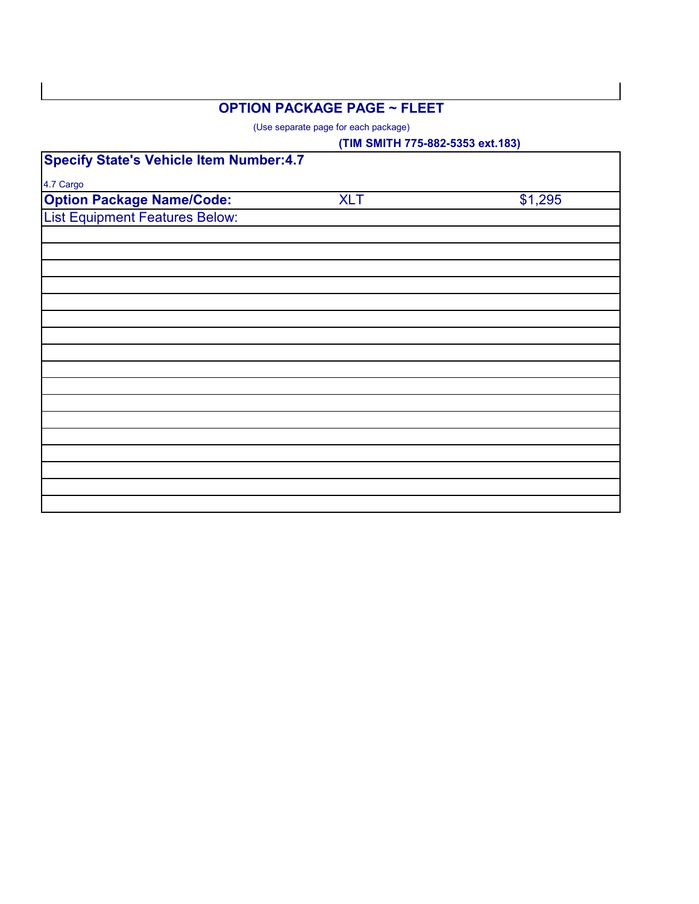## **OPTION PACKAGE PAGE ~ FLEET**

(Use separate page for each package)

|                                                |            | (TIM SMITH 775-882-5353 ext.183) |  |  |
|------------------------------------------------|------------|----------------------------------|--|--|
| <b>Specify State's Vehicle Item Number:4.7</b> |            |                                  |  |  |
| 4.7 Cargo                                      |            |                                  |  |  |
| <b>Option Package Name/Code:</b>               | <b>XLT</b> | \$1,295                          |  |  |
| <b>List Equipment Features Below:</b>          |            |                                  |  |  |
|                                                |            |                                  |  |  |
|                                                |            |                                  |  |  |
|                                                |            |                                  |  |  |
|                                                |            |                                  |  |  |
|                                                |            |                                  |  |  |
|                                                |            |                                  |  |  |
|                                                |            |                                  |  |  |
|                                                |            |                                  |  |  |
|                                                |            |                                  |  |  |
|                                                |            |                                  |  |  |
|                                                |            |                                  |  |  |
|                                                |            |                                  |  |  |
|                                                |            |                                  |  |  |
|                                                |            |                                  |  |  |
|                                                |            |                                  |  |  |
|                                                |            |                                  |  |  |